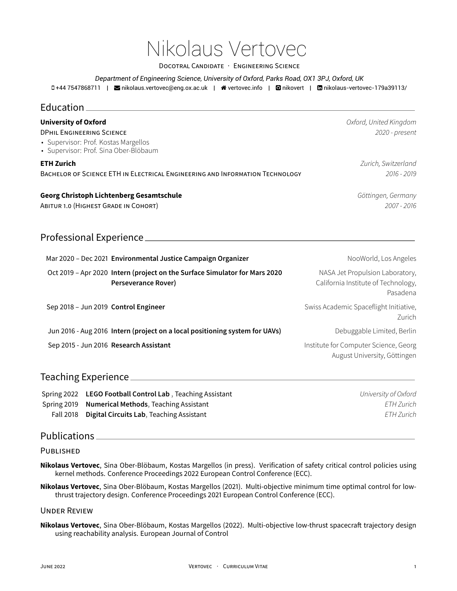# Nikolaus Vertovec

DOCOTRAL CANDIDATE · ENGINEERING SCIENCE

*Department of Engineering Science, University of Oxford, Parks Road, OX1 3PJ, Oxford, UK*

+44 7547868711 | [nikolaus.vertovec@eng.ox.ac.uk](mailto:nikolaus.vertovec@eng.ox.ac.uk) | [vertovec.info](http://vertovec.info) | [nikovert](https://github.com/nikovert) | [nikolaus-vertovec-179a39113/](https://www.linkedin.com/in/nikolaus-vertovec-179a39113/)

| Education.                                                                                                                                       |                                                                                                   |                                                                                    |
|--------------------------------------------------------------------------------------------------------------------------------------------------|---------------------------------------------------------------------------------------------------|------------------------------------------------------------------------------------|
| <b>University of Oxford</b><br><b>DPHIL ENGINEERING SCIENCE</b><br>• Supervisor: Prof. Kostas Margellos<br>· Supervisor: Prof. Sina Ober-Blöbaum |                                                                                                   | Oxford, United Kingdom<br>2020 - present                                           |
| <b>ETH Zurich</b><br>BACHELOR OF SCIENCE ETH IN ELECTRICAL ENGINEERING AND INFORMATION TECHNOLOGY                                                |                                                                                                   | Zurich, Switzerland<br>2016 - 2019                                                 |
| <b>Georg Christoph Lichtenberg Gesamtschule</b><br>ABITUR 1.0 (HIGHEST GRADE IN COHORT)                                                          |                                                                                                   | Göttingen, Germany<br>2007 - 2016                                                  |
|                                                                                                                                                  | Professional Experience                                                                           |                                                                                    |
|                                                                                                                                                  | Mar 2020 - Dec 2021 Environmental Justice Campaign Organizer                                      | NooWorld, Los Angeles                                                              |
|                                                                                                                                                  | Oct 2019 - Apr 2020 Intern (project on the Surface Simulator for Mars 2020<br>Perseverance Rover) | NASA Jet Propulsion Laboratory,<br>California Institute of Technology,<br>Pasadena |
| Sep 2018 - Jun 2019 Control Engineer                                                                                                             |                                                                                                   | Swiss Academic Spaceflight Initiative,<br>Zurich                                   |
|                                                                                                                                                  | Jun 2016 - Aug 2016 Intern (project on a local positioning system for UAVs)                       | Debuggable Limited, Berlin                                                         |
|                                                                                                                                                  | Sep 2015 - Jun 2016 Research Assistant                                                            | Institute for Computer Science, Georg<br>August University, Göttingen              |
| <b>Toaching Evnorionco</b>                                                                                                                       |                                                                                                   |                                                                                    |

#### $Teaching$  Experience  $\equiv$

Spring 2022 **LEGO Football Control Lab** , Teaching Assistant *University of Oxford* Spring 2019 **Numerical Methods**, Teaching Assistant *ETH Zurich* Fall 2018 **Digital Circuits Lab**, Teaching Assistant *ETH Zurich*

## Publications

#### PUBLISHED

**Nikolaus Vertovec**, Sina Ober-Blöbaum, Kostas Margellos (in press). Verification of safety critical control policies using kernel methods. Conference Proceedings 2022 European Control Conference (ECC).

**Nikolaus Vertovec**, Sina Ober-Blöbaum, Kostas Margellos (2021). Multi-objective minimum time optimal control for lowthrust trajectory design. Conference Proceedings 2021 European Control Conference (ECC).

#### UNDER REVIEW

**Nikolaus Vertovec**, Sina Ober-Blöbaum, Kostas Margellos (2022). Multi-objective low-thrust spacecraft trajectory design using reachability analysis. European Journal of Control